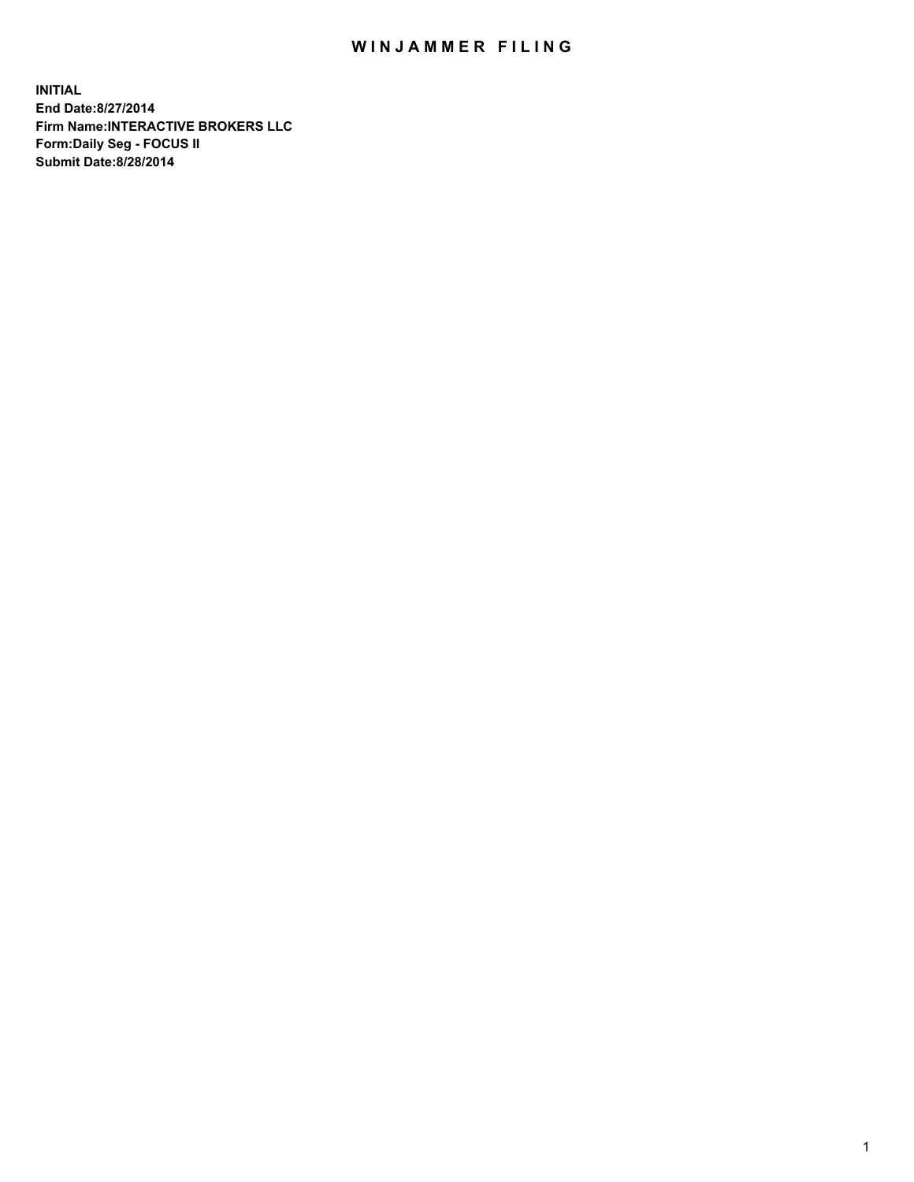## WIN JAMMER FILING

**INITIAL End Date:8/27/2014 Firm Name:INTERACTIVE BROKERS LLC Form:Daily Seg - FOCUS II Submit Date:8/28/2014**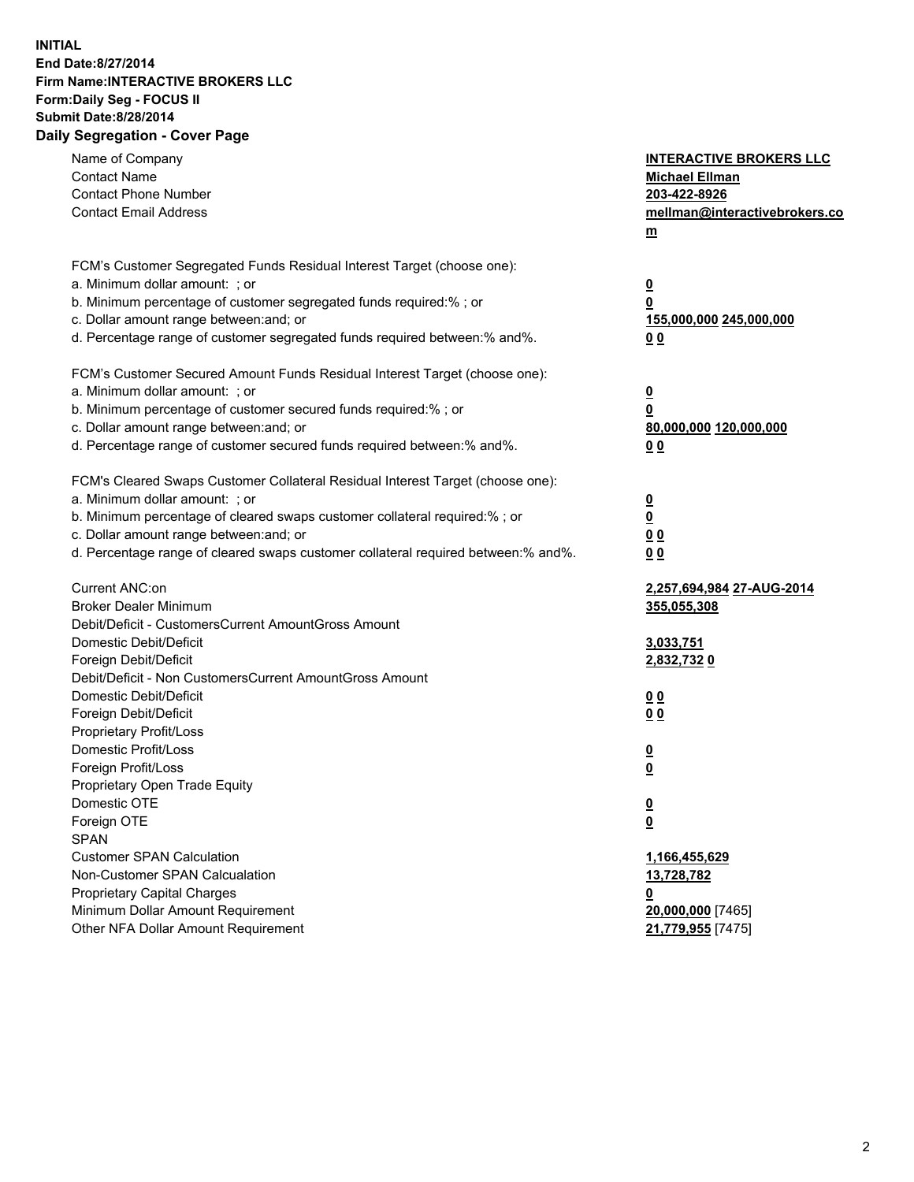## **INITIAL End Date:8/27/2014 Firm Name:INTERACTIVE BROKERS LLC Form:Daily Seg - FOCUS II Submit Date:8/28/2014 Daily Segregation - Cover Page**

| Name of Company<br><b>Contact Name</b><br><b>Contact Phone Number</b><br><b>Contact Email Address</b>                | <b>INTERACTIVE BROKERS LLC</b><br><b>Michael Ellman</b><br>203-422-8926<br>mellman@interactivebrokers.co<br>$m$ |
|----------------------------------------------------------------------------------------------------------------------|-----------------------------------------------------------------------------------------------------------------|
| FCM's Customer Segregated Funds Residual Interest Target (choose one):                                               |                                                                                                                 |
| a. Minimum dollar amount: ; or                                                                                       | $\overline{\mathbf{0}}$                                                                                         |
| b. Minimum percentage of customer segregated funds required:% ; or                                                   | 0                                                                                                               |
| c. Dollar amount range between: and; or<br>d. Percentage range of customer segregated funds required between:% and%. | 155,000,000 245,000,000                                                                                         |
|                                                                                                                      | 0 <sub>0</sub>                                                                                                  |
| FCM's Customer Secured Amount Funds Residual Interest Target (choose one):                                           |                                                                                                                 |
| a. Minimum dollar amount: ; or                                                                                       | $\overline{\mathbf{0}}$                                                                                         |
| b. Minimum percentage of customer secured funds required:% ; or                                                      | 0                                                                                                               |
| c. Dollar amount range between: and; or                                                                              | 80,000,000 120,000,000                                                                                          |
| d. Percentage range of customer secured funds required between:% and%.                                               | 0 <sub>0</sub>                                                                                                  |
|                                                                                                                      |                                                                                                                 |
| FCM's Cleared Swaps Customer Collateral Residual Interest Target (choose one):                                       |                                                                                                                 |
| a. Minimum dollar amount: ; or                                                                                       | $\overline{\mathbf{0}}$                                                                                         |
| b. Minimum percentage of cleared swaps customer collateral required:% ; or                                           | $\overline{\mathbf{0}}$                                                                                         |
| c. Dollar amount range between: and; or                                                                              | 0 <sub>0</sub>                                                                                                  |
| d. Percentage range of cleared swaps customer collateral required between:% and%.                                    | 0 <sub>0</sub>                                                                                                  |
| Current ANC:on                                                                                                       | 2,257,694,984 27-AUG-2014                                                                                       |
| <b>Broker Dealer Minimum</b>                                                                                         | 355,055,308                                                                                                     |
| Debit/Deficit - CustomersCurrent AmountGross Amount                                                                  |                                                                                                                 |
| Domestic Debit/Deficit                                                                                               | 3,033,751                                                                                                       |
| Foreign Debit/Deficit                                                                                                | 2,832,7320                                                                                                      |
| Debit/Deficit - Non CustomersCurrent AmountGross Amount                                                              |                                                                                                                 |
| Domestic Debit/Deficit                                                                                               | 0 <sub>0</sub>                                                                                                  |
| Foreign Debit/Deficit                                                                                                | 0 <sub>0</sub>                                                                                                  |
| Proprietary Profit/Loss                                                                                              |                                                                                                                 |
| Domestic Profit/Loss                                                                                                 | $\overline{\mathbf{0}}$                                                                                         |
| Foreign Profit/Loss                                                                                                  | $\underline{\mathbf{0}}$                                                                                        |
| Proprietary Open Trade Equity                                                                                        |                                                                                                                 |
| Domestic OTE                                                                                                         | <u>0</u>                                                                                                        |
| Foreign OTE                                                                                                          | <u>0</u>                                                                                                        |
| <b>SPAN</b>                                                                                                          |                                                                                                                 |
| <b>Customer SPAN Calculation</b>                                                                                     | 1,166,455,629                                                                                                   |
| Non-Customer SPAN Calcualation                                                                                       | 13,728,782                                                                                                      |
| Proprietary Capital Charges                                                                                          | <u>0</u>                                                                                                        |
| Minimum Dollar Amount Requirement                                                                                    | 20,000,000 [7465]                                                                                               |
| Other NFA Dollar Amount Requirement                                                                                  | 21,779,955 [7475]                                                                                               |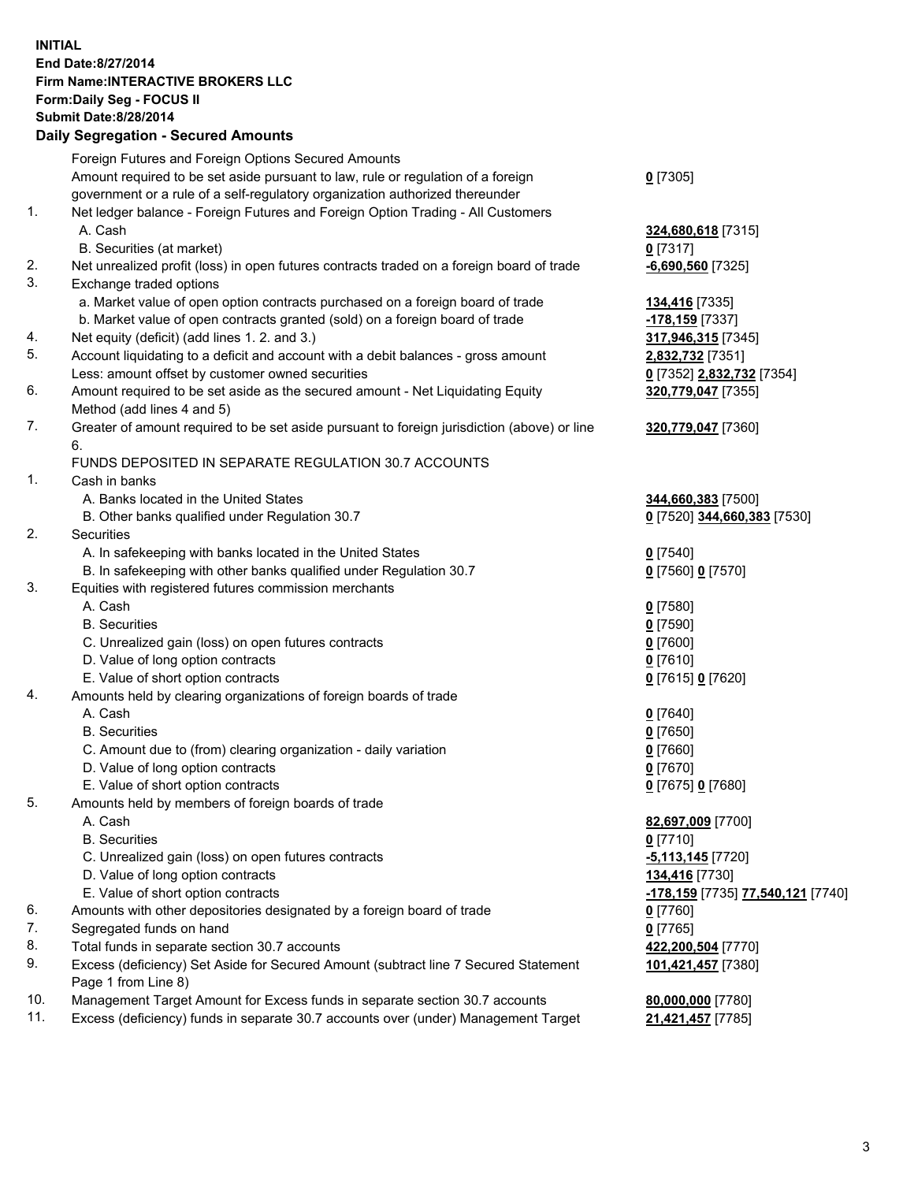## **INITIAL End Date:8/27/2014 Firm Name:INTERACTIVE BROKERS LLC Form:Daily Seg - FOCUS II Submit Date:8/28/2014 Daily Segregation - Secured Amounts**

| Daily Jegregation - Jeculed Aniounts                                                        |                                   |
|---------------------------------------------------------------------------------------------|-----------------------------------|
| Foreign Futures and Foreign Options Secured Amounts                                         |                                   |
| Amount required to be set aside pursuant to law, rule or regulation of a foreign            | $0$ [7305]                        |
| government or a rule of a self-regulatory organization authorized thereunder                |                                   |
| Net ledger balance - Foreign Futures and Foreign Option Trading - All Customers             |                                   |
| A. Cash                                                                                     | 324,680,618 [7315]                |
| B. Securities (at market)                                                                   | $0$ [7317]                        |
| Net unrealized profit (loss) in open futures contracts traded on a foreign board of trade   | -6,690,560 [7325]                 |
| Exchange traded options                                                                     |                                   |
| a. Market value of open option contracts purchased on a foreign board of trade              | <b>134,416</b> [7335]             |
| b. Market value of open contracts granted (sold) on a foreign board of trade                | -178,159 [7337]                   |
| Net equity (deficit) (add lines 1.2. and 3.)                                                | 317,946,315 [7345]                |
| Account liquidating to a deficit and account with a debit balances - gross amount           | 2,832,732 [7351]                  |
| Less: amount offset by customer owned securities                                            | 0 [7352] 2,832,732 [7354]         |
| Amount required to be set aside as the secured amount - Net Liquidating Equity              | 320,779,047 [7355]                |
| Method (add lines 4 and 5)                                                                  |                                   |
| Greater of amount required to be set aside pursuant to foreign jurisdiction (above) or line | 320,779,047 [7360]                |
| 6.                                                                                          |                                   |
| FUNDS DEPOSITED IN SEPARATE REGULATION 30.7 ACCOUNTS                                        |                                   |
| Cash in banks                                                                               |                                   |
| A. Banks located in the United States                                                       | 344,660,383 [7500]                |
| B. Other banks qualified under Regulation 30.7                                              | 0 [7520] 344,660,383 [7530]       |
| Securities                                                                                  |                                   |
| A. In safekeeping with banks located in the United States                                   | $0$ [7540]                        |
| B. In safekeeping with other banks qualified under Regulation 30.7                          | 0 [7560] 0 [7570]                 |
| Equities with registered futures commission merchants                                       |                                   |
| A. Cash                                                                                     | $0$ [7580]                        |
| <b>B.</b> Securities                                                                        | $0$ [7590]                        |
| C. Unrealized gain (loss) on open futures contracts                                         | $0$ [7600]                        |
| D. Value of long option contracts                                                           | $0$ [7610]                        |
| E. Value of short option contracts                                                          | 0 [7615] 0 [7620]                 |
| Amounts held by clearing organizations of foreign boards of trade                           |                                   |
| A. Cash                                                                                     | $0$ [7640]                        |
| <b>B.</b> Securities                                                                        | $0$ [7650]                        |
| C. Amount due to (from) clearing organization - daily variation                             | $0$ [7660]                        |
| D. Value of long option contracts                                                           | $0$ [7670]                        |
| E. Value of short option contracts                                                          | 0 [7675] 0 [7680]                 |
| Amounts held by members of foreign boards of trade                                          |                                   |
| A. Cash                                                                                     | 82,697,009 [7700]                 |
| <b>B.</b> Securities                                                                        | $0$ [7710]                        |
| C. Unrealized gain (loss) on open futures contracts                                         | -5,113,145 [7720]                 |
| D. Value of long option contracts                                                           | 134,416 [7730]                    |
| E. Value of short option contracts                                                          | -178,159 [7735] 77,540,121 [7740] |
| Amounts with other depositories designated by a foreign board of trade                      | $0$ [7760]                        |
| Segregated funds on hand                                                                    | $0$ [7765]                        |
| Total funds in separate section 30.7 accounts                                               | 422,200,504 [7770]                |
| Excess (deficiency) Set Aside for Secured Amount (subtract line 7 Secured Statement         | 101,421,457 [7380]                |
| Page 1 from Line 8)                                                                         |                                   |
| Management Target Amount for Excess funds in separate section 30.7 accounts                 | 80,000,000 [7780]                 |
| Excess (deficiency) funds in separate 30.7 accounts over (under) Management Target          | 21,421,457 [7785]                 |
|                                                                                             |                                   |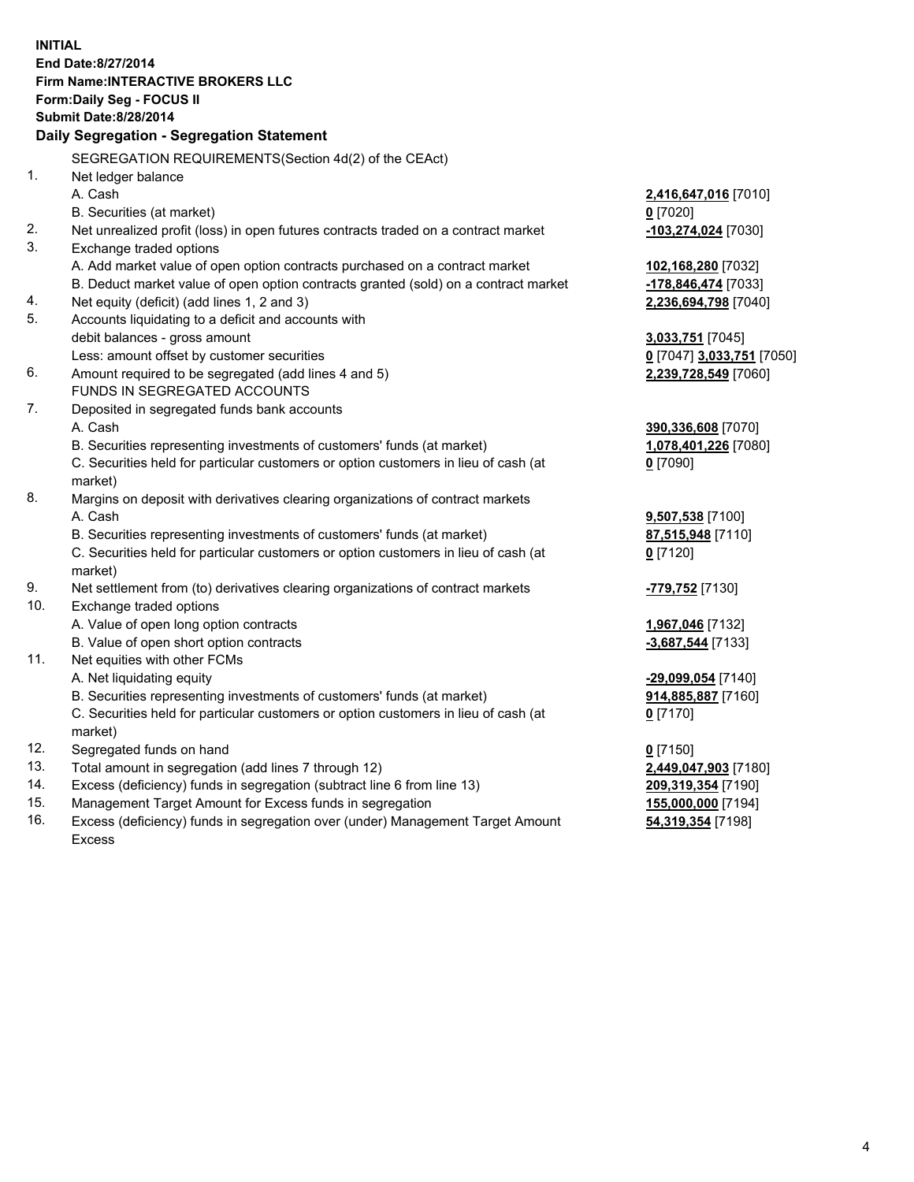**INITIAL End Date:8/27/2014 Firm Name:INTERACTIVE BROKERS LLC Form:Daily Seg - FOCUS II Submit Date:8/28/2014 Daily Segregation - Segregation Statement** SEGREGATION REQUIREMENTS(Section 4d(2) of the CEAct) 1. Net ledger balance A. Cash **2,416,647,016** [7010] B. Securities (at market) **0** [7020] 2. Net unrealized profit (loss) in open futures contracts traded on a contract market **-103,274,024** [7030] 3. Exchange traded options A. Add market value of open option contracts purchased on a contract market **102,168,280** [7032] B. Deduct market value of open option contracts granted (sold) on a contract market **-178,846,474** [7033] 4. Net equity (deficit) (add lines 1, 2 and 3) **2,236,694,798** [7040] 5. Accounts liquidating to a deficit and accounts with debit balances - gross amount **3,033,751** [7045] Less: amount offset by customer securities **0** [7047] **3,033,751** [7050] 6. Amount required to be segregated (add lines 4 and 5) **2,239,728,549** [7060] FUNDS IN SEGREGATED ACCOUNTS 7. Deposited in segregated funds bank accounts A. Cash **390,336,608** [7070] B. Securities representing investments of customers' funds (at market) **1,078,401,226** [7080] C. Securities held for particular customers or option customers in lieu of cash (at market) **0** [7090] 8. Margins on deposit with derivatives clearing organizations of contract markets A. Cash **9,507,538** [7100] B. Securities representing investments of customers' funds (at market) **87,515,948** [7110] C. Securities held for particular customers or option customers in lieu of cash (at market) **0** [7120] 9. Net settlement from (to) derivatives clearing organizations of contract markets **-779,752** [7130] 10. Exchange traded options A. Value of open long option contracts **1,967,046** [7132] B. Value of open short option contracts **and the set of open short option contracts -3,687,544** [7133] 11. Net equities with other FCMs A. Net liquidating equity **-29,099,054** [7140] B. Securities representing investments of customers' funds (at market) **914,885,887** [7160] C. Securities held for particular customers or option customers in lieu of cash (at market) **0** [7170] 12. Segregated funds on hand **0** [7150] 13. Total amount in segregation (add lines 7 through 12) **2,449,047,903** [7180] 14. Excess (deficiency) funds in segregation (subtract line 6 from line 13) **209,319,354** [7190] 15. Management Target Amount for Excess funds in segregation **155,000,000** [7194]

16. Excess (deficiency) funds in segregation over (under) Management Target Amount Excess

**54,319,354** [7198]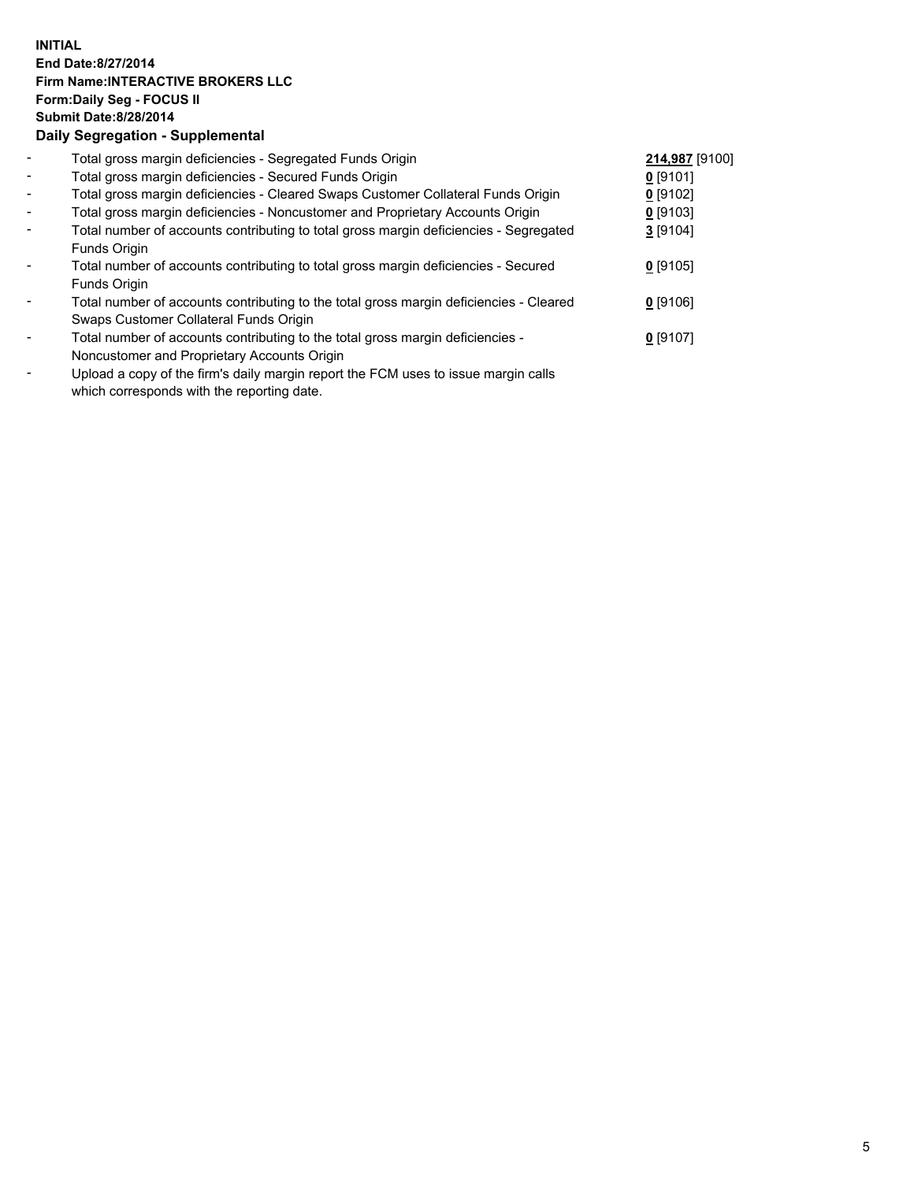## **INITIAL End Date:8/27/2014 Firm Name:INTERACTIVE BROKERS LLC Form:Daily Seg - FOCUS II Submit Date:8/28/2014 Daily Segregation - Supplemental**

| $\blacksquare$           | Total gross margin deficiencies - Segregated Funds Origin                                      | 214,987 [9100] |  |
|--------------------------|------------------------------------------------------------------------------------------------|----------------|--|
| $\blacksquare$           | Total gross margin deficiencies - Secured Funds Origin                                         | $0$ [9101]     |  |
| $\blacksquare$           | Total gross margin deficiencies - Cleared Swaps Customer Collateral Funds Origin               | $0$ [9102]     |  |
| $\blacksquare$           | Total gross margin deficiencies - Noncustomer and Proprietary Accounts Origin                  | $0$ [9103]     |  |
| $\blacksquare$           | Total number of accounts contributing to total gross margin deficiencies - Segregated          | $3$ [9104]     |  |
|                          | Funds Origin                                                                                   |                |  |
| $\blacksquare$           | Total number of accounts contributing to total gross margin deficiencies - Secured             | $0$ [9105]     |  |
|                          | Funds Origin                                                                                   |                |  |
| $\blacksquare$           | Total number of accounts contributing to the total gross margin deficiencies - Cleared         | $0$ [9106]     |  |
|                          | Swaps Customer Collateral Funds Origin                                                         |                |  |
| $\overline{\phantom{a}}$ | Total number of accounts contributing to the total gross margin deficiencies -                 | $0$ [9107]     |  |
|                          | Noncustomer and Proprietary Accounts Origin                                                    |                |  |
|                          | Unload a copy of the firmle delly mergin repeat the $\mathsf{ICM}$ uses to issue mergin selle. |                |  |

Upload a copy of the firm's daily margin report the FCM uses to issue margin calls which corresponds with the reporting date.